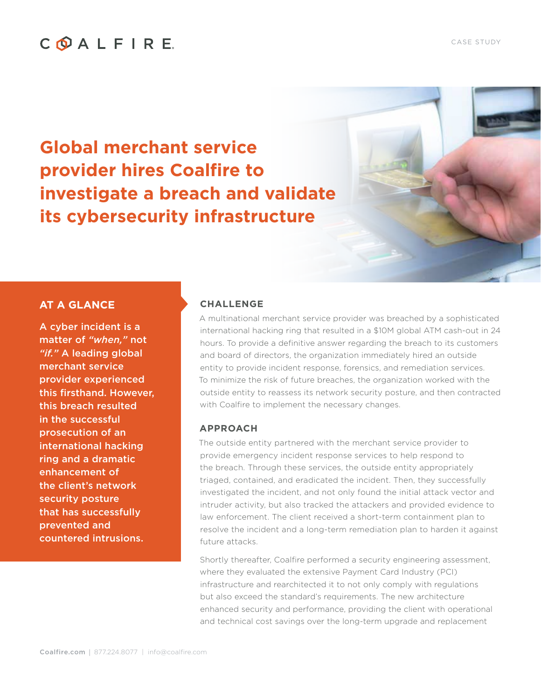# COALFIRE

**Global merchant service provider hires Coalfire to investigate a breach and validate its cybersecurity infrastructure**

### **AT A GLANCE**

A cyber incident is a matter of *"when,"* not *"if."* A leading global merchant service provider experienced this firsthand. However, this breach resulted in the successful prosecution of an international hacking ring and a dramatic enhancement of the client's network security posture that has successfully prevented and countered intrusions.

#### **CHALLENGE**

A multinational merchant service provider was breached by a sophisticated international hacking ring that resulted in a \$10M global ATM cash-out in 24 hours. To provide a definitive answer regarding the breach to its customers and board of directors, the organization immediately hired an outside entity to provide incident response, forensics, and remediation services. To minimize the risk of future breaches, the organization worked with the outside entity to reassess its network security posture, and then contracted with Coalfire to implement the necessary changes.

#### **APPROACH**

The outside entity partnered with the merchant service provider to provide emergency incident response services to help respond to the breach. Through these services, the outside entity appropriately triaged, contained, and eradicated the incident. Then, they successfully investigated the incident, and not only found the initial attack vector and intruder activity, but also tracked the attackers and provided evidence to law enforcement. The client received a short-term containment plan to resolve the incident and a long-term remediation plan to harden it against future attacks.

Shortly thereafter, Coalfire performed a security engineering assessment, where they evaluated the extensive Payment Card Industry (PCI) infrastructure and rearchitected it to not only comply with regulations but also exceed the standard's requirements. The new architecture enhanced security and performance, providing the client with operational and technical cost savings over the long-term upgrade and replacement